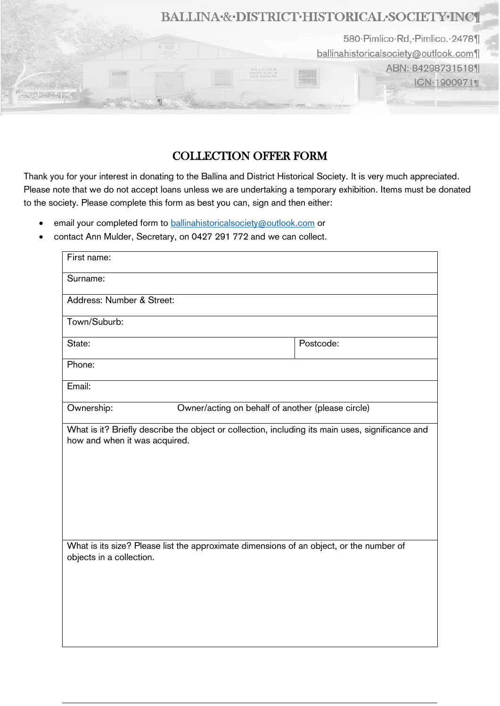

## COLLECTION OFFER FORM

Thank you for your interest in donating to the Ballina and District Historical Society. It is very much appreciated. Please note that we do not accept loans unless we are undertaking a temporary exhibition. Items must be donated to the society. Please complete this form as best you can, sign and then either:

- email your completed form to [ballinahistoricalsociety@outlook.com](mailto:ballinahistoricalsociety@outlook.com) or
- contact Ann Mulder, Secretary, on 0427 291 772 and we can collect.

| First name:                   |                                                   |  |                                                                                                                                                                                             |
|-------------------------------|---------------------------------------------------|--|---------------------------------------------------------------------------------------------------------------------------------------------------------------------------------------------|
| Surname:                      |                                                   |  |                                                                                                                                                                                             |
| Address: Number & Street:     |                                                   |  |                                                                                                                                                                                             |
| Town/Suburb:                  |                                                   |  |                                                                                                                                                                                             |
| State:                        |                                                   |  | Postcode:                                                                                                                                                                                   |
| Phone:                        |                                                   |  |                                                                                                                                                                                             |
| Email:                        |                                                   |  |                                                                                                                                                                                             |
| Ownership:                    | Owner/acting on behalf of another (please circle) |  |                                                                                                                                                                                             |
| how and when it was acquired. |                                                   |  | What is it? Briefly describe the object or collection, including its main uses, significance and<br>What is its size? Please list the approximate dimensions of an object, or the number of |
|                               |                                                   |  |                                                                                                                                                                                             |